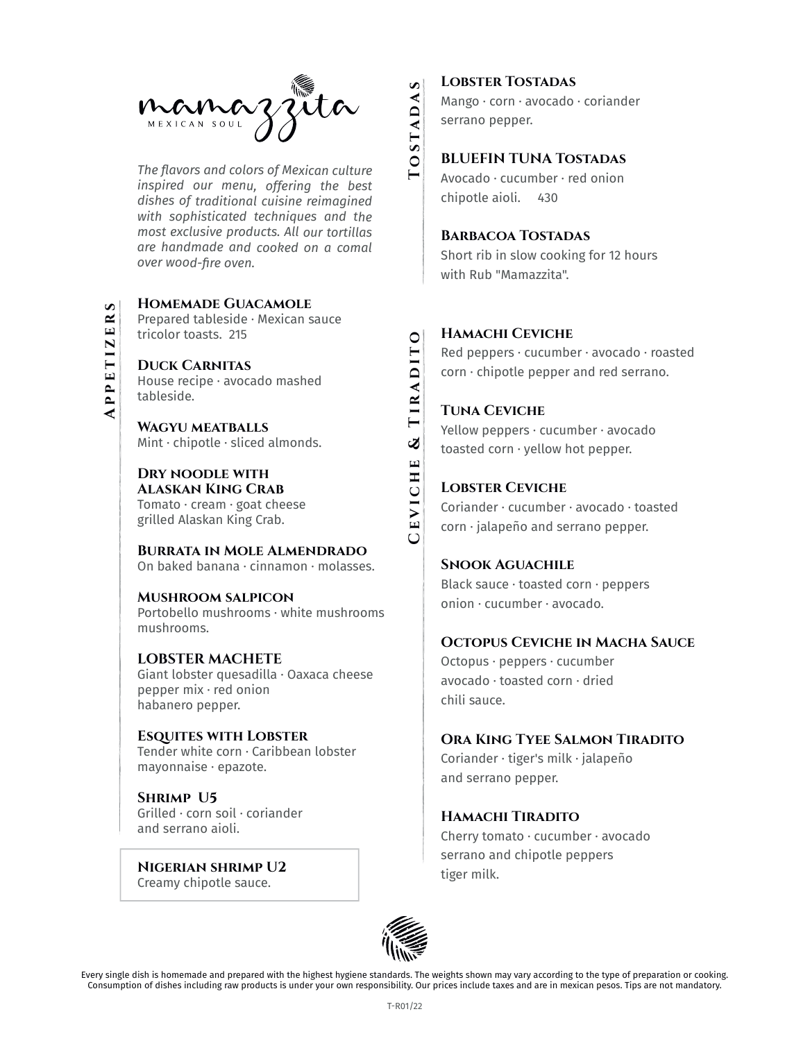

Consumer of the consumer of the consumer of dishes including rates in the consumer of the consumer of the consumer of the consumer of the consumer of the consumer of the consumer of the consumer of the consumer of the con *The flavors and colors of Mexican culture inspired our menu, offering the best dishes of traditional cuisine reimagined with sophisticated techniques and the most exclusive products. All our tortillas are handmade and cooked on a comal over wood-fire oven.*

**Homemade Guacamole** Prepared tableside · Mexican sauce tricolor toasts. 215

**Duck Carnitas** House recipe · avocado mashed tableside.

**Wagyu meatballs** Mint  $\cdot$  chipotle  $\cdot$  sliced almonds.

**Dry noodle with Alaskan King Crab** Tomato · cream · goat cheese grilled Alaskan King Crab.

**Burrata in Mole Almendrado** On baked banana · cinnamon · molasses.

**Mushroom salpicon** Portobello mushrooms · white mushrooms mushrooms.

#### **LOBSTER MACHETE** Giant lobster quesadilla · Oaxaca cheese

pepper mix · red onion habanero pepper.

**Esquites with Lobster** Tender white corn · Caribbean lobster mayonnaise · epazote.

**Shrimp U5** Grilled · corn soil · coriander and serrano aioli.

**Nigerian shrimp U2** Creamy chipotle sauce.

## **Lobster Tostadas**

Mango · corn · avocado · coriander serrano pepper.

## **BLUEFIN TUNA Tostadas**

Avocado · cucumber · red onion chipotle aioli. 430

## **Barbacoa Tostadas**

Short rib in slow cooking for 12 hours with Rub "Mamazzita".

#### **Hamachi Ceviche**

Red peppers · cucumber · avocado · roasted  $corn · chipotte pepper and red serrano.$ 

## **Tuna Ceviche**

**Ceviche & Tiradito**

Yellow peppers · cucumber · avocado toasted corn · yellow hot pepper.

## **Lobster Ceviche**

Coriander · cucumber · avocado · toasted corn · jalapeño and serrano pepper.

## **Snook Aguachile**

Black sauce · toasted corn · peppers onion · cucumber · avocado.

#### **Octopus Ceviche in Macha Sauce**

Octopus · peppers · cucumber avocado · toasted corn · dried chili sauce.

## **Ora King Tyee Salmon Tiradito**

Coriander · tiger's milk · jalapeño and serrano pepper.

## **Hamachi Tiradito**

Cherry tomato · cucumber · avocado serrano and chipotle peppers tiger milk.



Every single dish is homemade and prepared with the highest hygiene standards. The weights shown may vary according to the type of preparation or cooking.<br>Consumption of dishes including raw products is under your own resp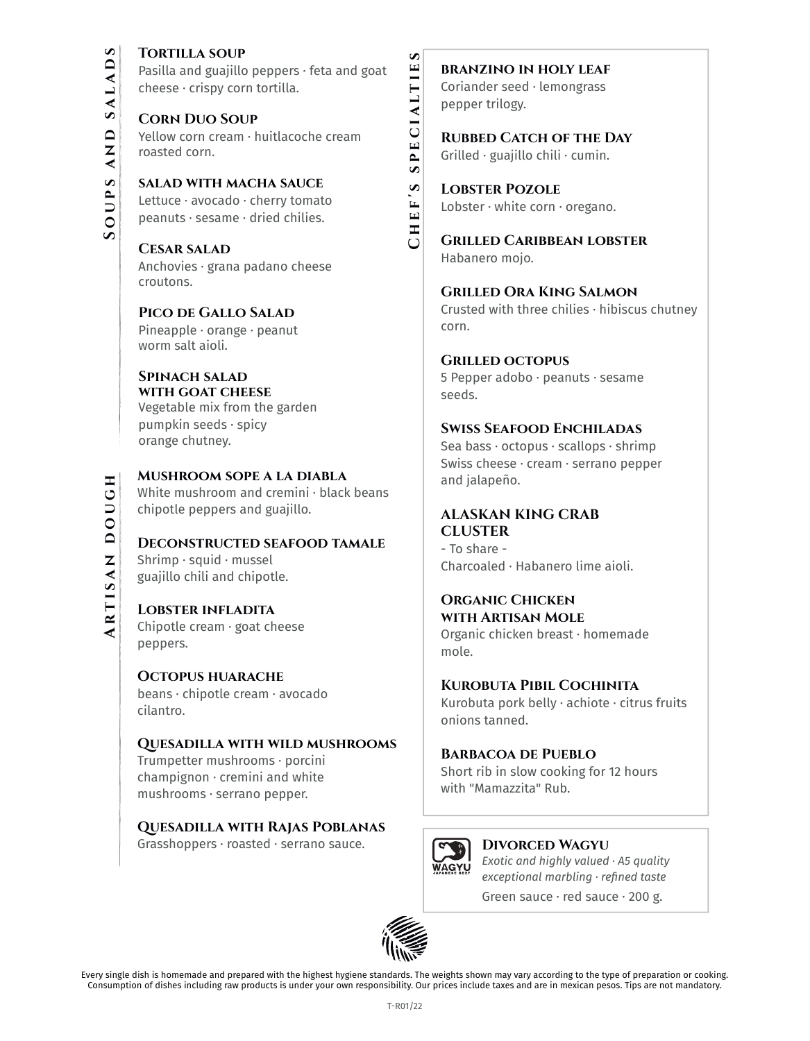## **TORTILLA SOUP**

Pasilla and guajillo peppers · feta and goat cheese · crispy corn tortilla.

**Corn Duo Soup**

Yellow corn cream · huitlacoche cream roasted corn.

**salad with macha sauce**  Lettuce · avocado · cherry tomato peanuts · sesame · dried chilies.

**Cesar salad** Anchovies · grana padano cheese croutons.

**Pico de Gallo Salad** Pineapple · orange · peanut worm salt aioli.

#### **Spinach salad with goat cheese**

Vegetable mix from the garden pumpkin seeds · spicy orange chutney.

**Mushroom sope a la diabla** White mushroom and cremini · black beans chipotle peppers and guajillo.

**Deconstructed seafood tamale** Shrimp · squid · mussel guajillo chili and chipotle.

## **Lobster infladita**

Chipotle cream · goat cheese peppers.

**Octopus huarache** beans · chipotle cream · avocado cilantro.

## **Quesadilla with wild mushrooms**

Trumpetter mushrooms · porcini champignon · cremini and white mushrooms · serrano pepper.

## **Quesadilla with Rajas Poblanas**

Grasshoppers · roasted · serrano sauce.

## **branzino in holy leaf** Coriander seed · lemongrass pepper trilogy.

**RUBBED CATCH OF THE DAY** Grilled · guajillo chili · cumin.

**Chef's specialties**

HEF'S

 $\cup$ 

SPECIALTIE

S

**Lobster Pozole** Lobster · white corn · oregano.

**Grilled Caribbean lobster** Habanero mojo.

**Grilled Ora King Salmon** Crusted with three chilies · hibiscus chutney corn.

## **Grilled octopus**

5 Pepper adobo · peanuts · sesame seeds.

## **Swiss Seafood Enchiladas**

Sea bass · octopus · scallops · shrimp Swiss cheese · cream · serrano pepper and jalapeño.

## **ALASKAN KING CRAB CLUSTER**

- To share - Charcoaled · Habanero lime aioli.

## **Organic Chicken**

**with Artisan Mole** Organic chicken breast · homemade mole.

## **Kurobuta Pibil Cochinita**

Kurobuta pork belly · achiote · citrus fruits onions tanned.

## **Barbacoa de Pueblo**

Short rib in slow cooking for 12 hours with "Mamazzita" Rub.



#### **Divorced Wagyu** *Exotic and highly valued · A5 quality exceptional marbling · refined taste*

Green sauce · red sauce · 200 g.



Every single dish is homemade and prepared with the highest hygiene standards. The weights shown may vary according to the type of preparation or cooking. Consumption of dishes including raw products is under your own responsibility. Our prices include taxes and are in mexican pesos. Tips are not mandatory.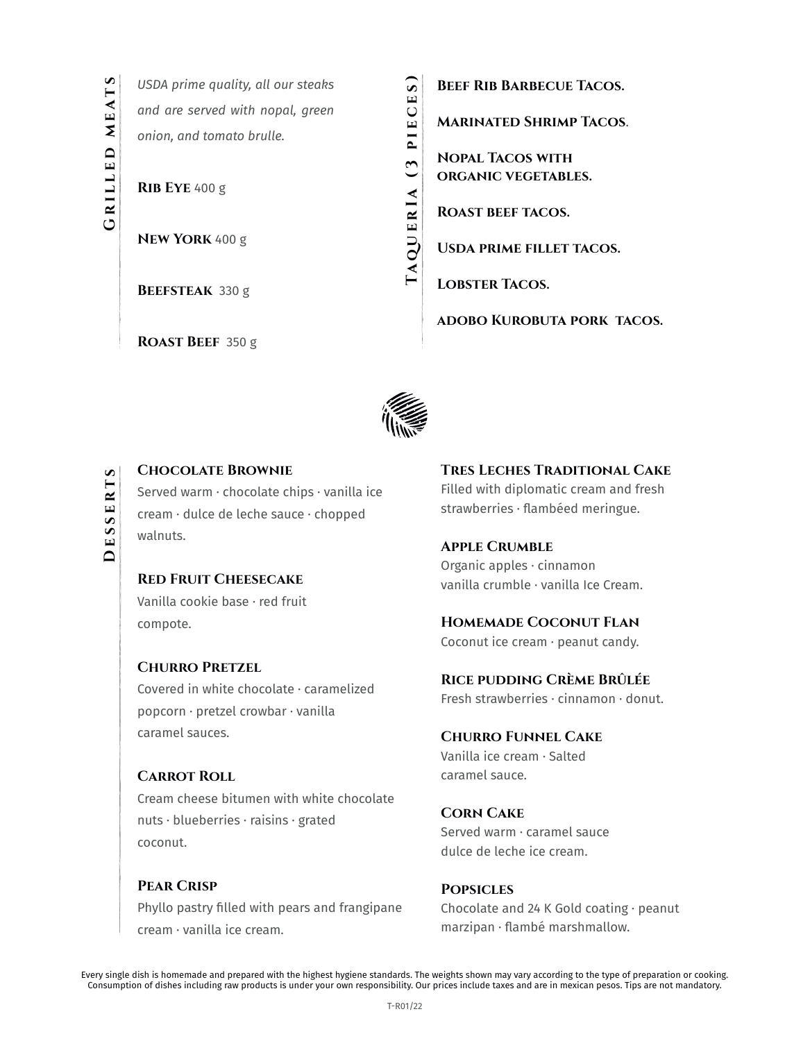*USDA prime quality, all our steaks and are served with nopal, green onion, and tomato brulle.* 

**Rib Eye** 400 g

**New York** 400 g

**Beefsteak** 330 g

**Roast Beef** 350 g

**TaquerIa (3 pieces)**

Consumer of distinguished and the mean performance of the consumer performance of the consumer performance of the consumer performance of the consumer performance of the consumer performance of the consumer performance of **Beef Rib Barbecue Tacos. Marinated Shrimp Tacos**. **Nopal Tacos with organic vegetables. Roast beef tacos. Usda prime fillet tacos.** 

**Lobster Tacos.** 

**adobo Kurobuta pork tacos.** 



## **Chocolate Brownie** Served warm · chocolate chips · vanilla ice cream · dulce de leche sauce · chopped walnuts.

**Red Fruit Cheesecake** Vanilla cookie base · red fruit compote.

**Churro Pretzel** Covered in white chocolate · caramelized popcorn · pretzel crowbar · vanilla caramel sauces.

## **Carrot Roll** Cream cheese bitumen with white chocolate nuts · blueberries · raisins · grated

coconut.

**Pear Crisp** Phyllo pastry filled with pears and frangipane cream · vanilla ice cream.

**Tres Leches Traditional Cake** Filled with diplomatic cream and fresh strawberries · flambéed meringue.

**Apple Crumble** Organic apples · cinnamon vanilla crumble · vanilla Ice Cream.

## **Homemade Coconut Flan**

Coconut ice cream · peanut candy.

**Rice pudding Crème Brûlée** Fresh strawberries · cinnamon · donut.

**Churro Funnel Cake**

Vanilla ice cream · Salted caramel sauce.

**Corn Cake** Served warm · caramel sauce dulce de leche ice cream.

**Popsicles** Chocolate and 24 K Gold coating · peanut marzipan · flambé marshmallow.

Every single dish is homemade and prepared with the highest hygiene standards. The weights shown may vary according to the type of preparation or cooking.<br>Consumption of dishes including raw products is under your own resp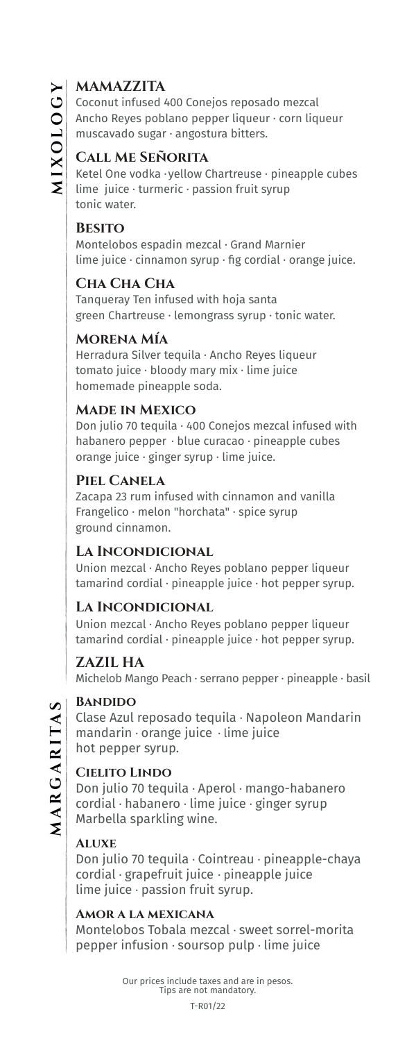## **MAMAZZITA**

Coconut infused 400 Conejos reposado mezcal Ancho Reyes poblano pepper liqueur · corn liqueur muscavado sugar · angostura bitters.

## **Call Me Señorita**

Ketel One vodka · yellow Chartreuse · pineapple cubes lime juice · turmeric · passion fruit syrup tonic water.

#### **Besito**

Montelobos espadin mezcal · Grand Marnier lime juice  $\cdot$  cinnamon syrup  $\cdot$  fig cordial  $\cdot$  orange juice.

## **Cha Cha Cha**

Tanqueray Ten infused with hoja santa green Chartreuse · lemongrass syrup · tonic water.

## **Morena Mía**

Herradura Silver tequila · Ancho Reyes liqueur tomato juice · bloody mary mix · lime juice homemade pineapple soda.

#### **Made in Mexico**

Don julio 70 tequila · 400 Conejos mezcal infused with habanero pepper · blue curacao · pineapple cubes orange juice · ginger syrup · lime juice.

## **Piel Canela**

Zacapa 23 rum infused with cinnamon and vanilla Frangelico · melon "horchata" · spice syrup ground cinnamon.

## **La Incondicional**

Union mezcal · Ancho Reyes poblano pepper liqueur  $t$ amarind cordial · pineapple juice · hot pepper syrup.

## **La Incondicional**

Union mezcal · Ancho Reyes poblano pepper liqueur tamarind cordial · pineapple juice · hot pepper syrup.

#### **ZAZIL HA**

Michelob Mango Peach · serrano pepper · pineapple · basil

#### **Bandido**

Clase Azul reposado tequila · Napoleon Mandarin mandarin · orange juice · lime juice hot pepper syrup.

#### **Cielito Lindo**

Don julio 70 tequila · Aperol · mango-habanero cordial · habanero · lime juice · ginger syrup Marbella sparkling wine.

#### **Aluxe**

Don julio 70 tequila · Cointreau · pineapple-chaya cordial · grapefruit juice · pineapple juice lime juice · passion fruit syrup.

#### **Amor a la mexicana**

Montelobos Tobala mezcal · sweet sorrel-morita pepper infusion · soursop pulp · lime juice